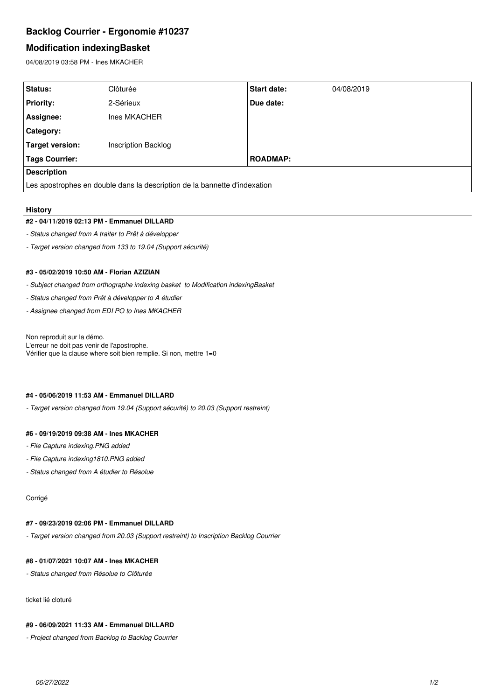# **Backlog Courrier - Ergonomie #10237**

## **Modification indexingBasket**

04/08/2019 03:58 PM - Ines MKACHER

| Status:                                                                   | Clôturée            | <b>Start date:</b> | 04/08/2019 |  |  |
|---------------------------------------------------------------------------|---------------------|--------------------|------------|--|--|
| <b>Priority:</b>                                                          | 2-Sérieux           | Due date:          |            |  |  |
| Assignee:                                                                 | Ines MKACHER        |                    |            |  |  |
| <b>Category:</b>                                                          |                     |                    |            |  |  |
| <b>Target version:</b>                                                    | Inscription Backlog |                    |            |  |  |
| <b>Tags Courrier:</b>                                                     |                     | <b>ROADMAP:</b>    |            |  |  |
| <b>Description</b>                                                        |                     |                    |            |  |  |
| Les apostrophes en double dans la description de la bannette d'indexation |                     |                    |            |  |  |

#### **History**

#### **#2 - 04/11/2019 02:13 PM - Emmanuel DILLARD**

- *Status changed from A traiter to Prêt à développer*
- *Target version changed from 133 to 19.04 (Support sécurité)*

## **#3 - 05/02/2019 10:50 AM - Florian AZIZIAN**

- *Subject changed from orthographe indexing basket to Modification indexingBasket*
- *Status changed from Prêt à développer to A étudier*
- *Assignee changed from EDI PO to Ines MKACHER*

Non reproduit sur la démo. L'erreur ne doit pas venir de l'apostrophe. Vérifier que la clause where soit bien remplie. Si non, mettre 1=0

## **#4 - 05/06/2019 11:53 AM - Emmanuel DILLARD**

*- Target version changed from 19.04 (Support sécurité) to 20.03 (Support restreint)*

#### **#6 - 09/19/2019 09:38 AM - Ines MKACHER**

- *File Capture indexing.PNG added*
- *File Capture indexing1810.PNG added*
- *Status changed from A étudier to Résolue*

#### Corrigé

## **#7 - 09/23/2019 02:06 PM - Emmanuel DILLARD**

*- Target version changed from 20.03 (Support restreint) to Inscription Backlog Courrier*

#### **#8 - 01/07/2021 10:07 AM - Ines MKACHER**

*- Status changed from Résolue to Clôturée*

ticket lié cloturé

## **#9 - 06/09/2021 11:33 AM - Emmanuel DILLARD**

*- Project changed from Backlog to Backlog Courrier*